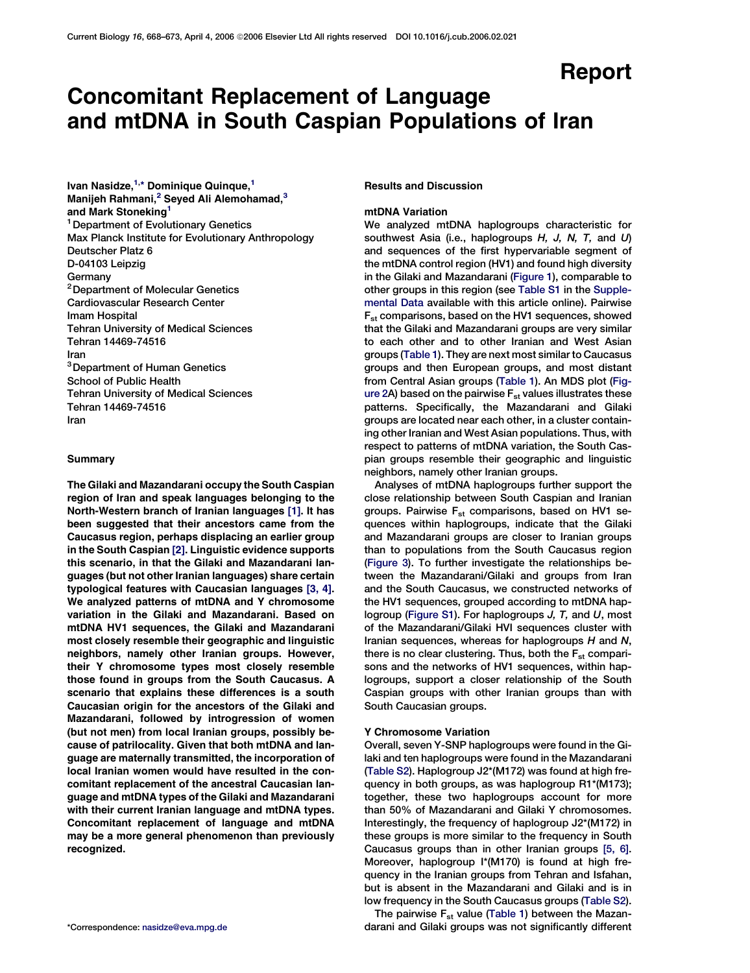# Report

# Concomitant Replacement of Language and mtDNA in South Caspian Populations of Iran

Ivan Nasidze,<sup>1,</sup>\* Dominique Quinque,<sup>1</sup> Manijeh Rahmani,<sup>2</sup> Seyed Ali Alemohamad,<sup>3</sup> and Mark Stoneking<sup>1</sup> <sup>1</sup> Department of Evolutionary Genetics Max Planck Institute for Evolutionary Anthropology Deutscher Platz 6 D-04103 Leipzig Germany <sup>2</sup> Department of Molecular Genetics Cardiovascular Research Center Imam Hospital Tehran University of Medical Sciences Tehran 14469-74516 Iran 3Department of Human Genetics School of Public Health Tehran University of Medical Sciences Tehran 14469-74516 Iran

#### Summary

The Gilaki and Mazandarani occupy the South Caspian region of Iran and speak languages belonging to the North-Western branch of Iranian languages [\[1\].](#page-4-0) It has been suggested that their ancestors came from the Caucasus region, perhaps displacing an earlier group in the South Caspian [\[2\].](#page-4-0) Linguistic evidence supports this scenario, in that the Gilaki and Mazandarani languages (but not other Iranian languages) share certain typological features with Caucasian languages [\[3, 4\].](#page-4-0) We analyzed patterns of mtDNA and Y chromosome variation in the Gilaki and Mazandarani. Based on mtDNA HV1 sequences, the Gilaki and Mazandarani most closely resemble their geographic and linguistic neighbors, namely other Iranian groups. However, their Y chromosome types most closely resemble those found in groups from the South Caucasus. A scenario that explains these differences is a south Caucasian origin for the ancestors of the Gilaki and Mazandarani, followed by introgression of women (but not men) from local Iranian groups, possibly because of patrilocality. Given that both mtDNA and language are maternally transmitted, the incorporation of local Iranian women would have resulted in the concomitant replacement of the ancestral Caucasian language and mtDNA types of the Gilaki and Mazandarani with their current Iranian language and mtDNA types. Concomitant replacement of language and mtDNA may be a more general phenomenon than previously recognized.

# Results and Discussion

# mtDNA Variation

We analyzed mtDNA haplogroups characteristic for southwest Asia (i.e., haplogroups  $H$ , J, N, T, and U) and sequences of the first hypervariable segment of the mtDNA control region (HV1) and found high diversity in the Gilaki and Mazandarani [\(Figure 1\)](#page-1-0), comparable to other groups in this region (see [Table S1](#page-4-0) in the [Supple](#page-4-0)[mental Data](#page-4-0) available with this article online). Pairwise Fst comparisons, based on the HV1 sequences, showed that the Gilaki and Mazandarani groups are very similar to each other and to other Iranian and West Asian groups ([Table 1](#page-1-0)). They are next most similar to Caucasus groups and then European groups, and most distant from Central Asian groups [\(Table 1](#page-1-0)). An MDS plot ([Fig](#page-2-0)[ure 2](#page-2-0)A) based on the pairwise  $F_{st}$  values illustrates these patterns. Specifically, the Mazandarani and Gilaki groups are located near each other, in a cluster containing other Iranian and West Asian populations. Thus, with respect to patterns of mtDNA variation, the South Caspian groups resemble their geographic and linguistic neighbors, namely other Iranian groups.

Analyses of mtDNA haplogroups further support the close relationship between South Caspian and Iranian groups. Pairwise F<sub>st</sub> comparisons, based on HV1 sequences within haplogroups, indicate that the Gilaki and Mazandarani groups are closer to Iranian groups than to populations from the South Caucasus region [\(Figure 3](#page-2-0)). To further investigate the relationships between the Mazandarani/Gilaki and groups from Iran and the South Caucasus, we constructed networks of the HV1 sequences, grouped according to mtDNA haplogroup [\(Figure S1\)](#page-4-0). For haplogroups J, T, and U, most of the Mazandarani/Gilaki HVI sequences cluster with Iranian sequences, whereas for haplogroups  $H$  and  $N$ , there is no clear clustering. Thus, both the  $F_{st}$  comparisons and the networks of HV1 sequences, within haplogroups, support a closer relationship of the South Caspian groups with other Iranian groups than with South Caucasian groups.

## Y Chromosome Variation

Overall, seven Y-SNP haplogroups were found in the Gilaki and ten haplogroups were found in the Mazandarani [\(Table S2](#page-4-0)). Haplogroup J2\*(M172) was found at high frequency in both groups, as was haplogroup R1\*(M173); together, these two haplogroups account for more than 50% of Mazandarani and Gilaki Y chromosomes. Interestingly, the frequency of haplogroup J2\*(M172) in these groups is more similar to the frequency in South Caucasus groups than in other Iranian groups [\[5, 6\].](#page-4-0) Moreover, haplogroup I\*(M170) is found at high frequency in the Iranian groups from Tehran and Isfahan, but is absent in the Mazandarani and Gilaki and is in low frequency in the South Caucasus groups ([Table S2\)](#page-4-0).

The pairwise  $F_{st}$  value [\(Table 1](#page-1-0)) between the Mazan-\*Correspondence: [nasidze@eva.mpg.de](mailto:nasidze@eva.mpg.de) darani and Gilaki groups was not significantly different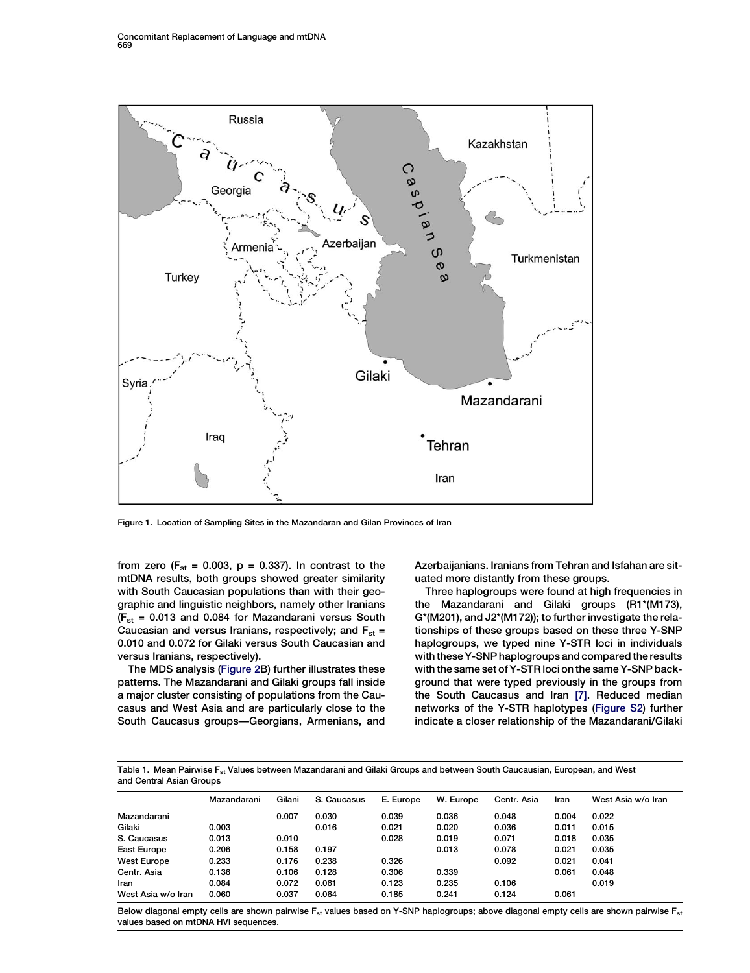<span id="page-1-0"></span>

Figure 1. Location of Sampling Sites in the Mazandaran and Gilan Provinces of Iran

from zero ( $F_{st}$  = 0.003, p = 0.337). In contrast to the mtDNA results, both groups showed greater similarity with South Caucasian populations than with their geographic and linguistic neighbors, namely other Iranians  $(F_{st} = 0.013$  and 0.084 for Mazandarani versus South Caucasian and versus Iranians, respectively; and  $F_{st}$  = 0.010 and 0.072 for Gilaki versus South Caucasian and versus Iranians, respectively).

The MDS analysis ([Figure 2](#page-2-0)B) further illustrates these patterns. The Mazandarani and Gilaki groups fall inside a major cluster consisting of populations from the Caucasus and West Asia and are particularly close to the South Caucasus groups—Georgians, Armenians, and Azerbaijanians. Iranians from Tehran and Isfahan are situated more distantly from these groups.

Three haplogroups were found at high frequencies in the Mazandarani and Gilaki groups (R1\*(M173), G\*(M201), and J2\*(M172)); to further investigate the relationships of these groups based on these three Y-SNP haplogroups, we typed nine Y-STR loci in individuals with these Y-SNP haplogroups and compared the results with the same set of Y-STR loci on the same Y-SNP background that were typed previously in the groups from the South Caucasus and Iran [\[7\]](#page-4-0). Reduced median networks of the Y-STR haplotypes ([Figure S2](#page-4-0)) further indicate a closer relationship of the Mazandarani/Gilaki

Table 1. Mean Pairwise  $F_{st}$  Values between Mazandarani and Gilaki Groups and between South Caucausian, European, and West and Central Asian Groups

|                    | Mazandarani | Gilani | S. Caucasus | E. Europe | W. Europe | Centr. Asia | Iran  | West Asia w/o Iran |
|--------------------|-------------|--------|-------------|-----------|-----------|-------------|-------|--------------------|
| Mazandarani        |             | 0.007  | 0.030       | 0.039     | 0.036     | 0.048       | 0.004 | 0.022              |
| Gilaki             | 0.003       |        | 0.016       | 0.021     | 0.020     | 0.036       | 0.011 | 0.015              |
| S. Caucasus        | 0.013       | 0.010  |             | 0.028     | 0.019     | 0.071       | 0.018 | 0.035              |
| <b>East Europe</b> | 0.206       | 0.158  | 0.197       |           | 0.013     | 0.078       | 0.021 | 0.035              |
| <b>West Europe</b> | 0.233       | 0.176  | 0.238       | 0.326     |           | 0.092       | 0.021 | 0.041              |
| Centr. Asia        | 0.136       | 0.106  | 0.128       | 0.306     | 0.339     |             | 0.061 | 0.048              |
| Iran               | 0.084       | 0.072  | 0.061       | 0.123     | 0.235     | 0.106       |       | 0.019              |
| West Asia w/o Iran | 0.060       | 0.037  | 0.064       | 0.185     | 0.241     | 0.124       | 0.061 |                    |

Below diagonal empty cells are shown pairwise  $F_{st}$  values based on Y-SNP haplogroups; above diagonal empty cells are shown pairwise  $F_{st}$ values based on mtDNA HVI sequences.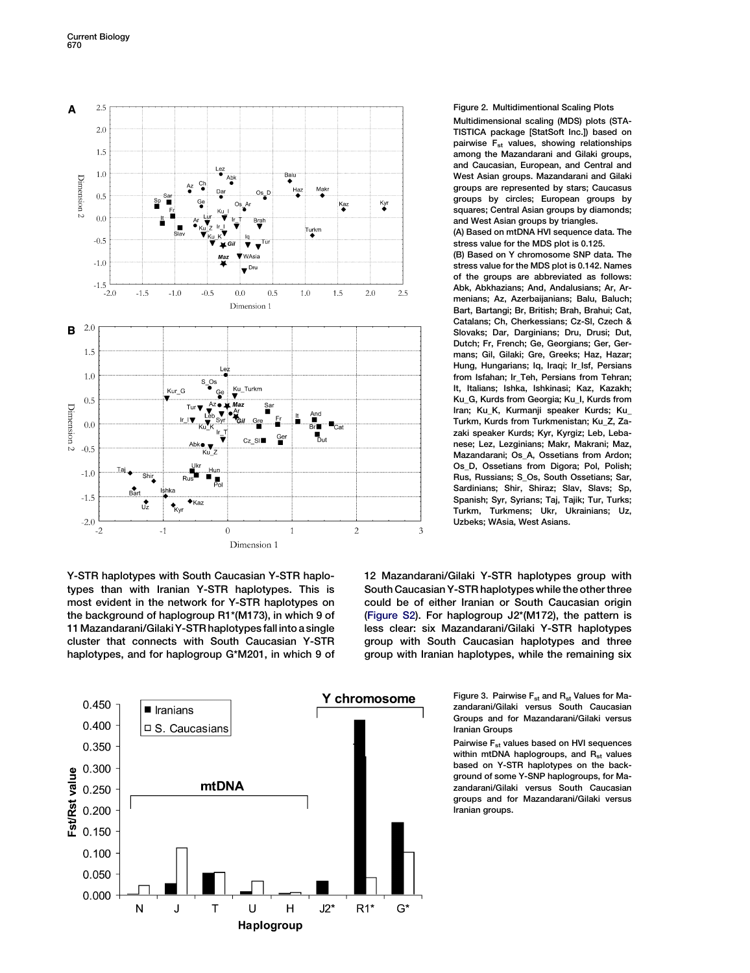<span id="page-2-0"></span>

Y-STR haplotypes with South Caucasian Y-STR haplotypes than with Iranian Y-STR haplotypes. This is most evident in the network for Y-STR haplotypes on the background of haplogroup R1\*(M173), in which 9 of 11Mazandarani/GilakiY-STR haplotypes fall into asingle cluster that connects with South Caucasian Y-STR haplotypes, and for haplogroup G\*M201, in which 9 of



### Figure 2. Multidimentional Scaling Plots

Multidimensional scaling (MDS) plots (STA-TISTICA package [StatSoft Inc.]) based on pairwise  $F_{st}$  values, showing relationships among the Mazandarani and Gilaki groups, and Caucasian, European, and Central and West Asian groups. Mazandarani and Gilaki groups are represented by stars; Caucasus groups by circles; European groups by squares; Central Asian groups by diamonds; and West Asian groups by triangles.

(A) Based on mtDNA HVI sequence data. The stress value for the MDS plot is 0.125.

(B) Based on Y chromosome SNP data. The stress value for the MDS plot is 0.142. Names of the groups are abbreviated as follows: Abk, Abkhazians; And, Andalusians; Ar, Armenians; Az, Azerbaijanians; Balu, Baluch; Bart, Bartangi; Br, British; Brah, Brahui; Cat, Catalans; Ch, Cherkessians; Cz-Sl, Czech & Slovaks; Dar, Darginians; Dru, Drusi; Dut, Dutch; Fr, French; Ge, Georgians; Ger, Germans; Gil, Gilaki; Gre, Greeks; Haz, Hazar; Hung, Hungarians; Iq, Iraqi; Ir\_Isf, Persians from Isfahan; Ir Teh, Persians from Tehran; It, Italians; Ishka, Ishkinasi; Kaz, Kazakh; Ku\_G, Kurds from Georgia; Ku\_I, Kurds from Iran; Ku\_K, Kurmanji speaker Kurds; Ku\_ Turkm, Kurds from Turkmenistan; Ku\_Z, Zazaki speaker Kurds; Kyr, Kyrgiz; Leb, Lebanese; Lez, Lezginians; Makr, Makrani; Maz, Mazandarani; Os\_A, Ossetians from Ardon; Os\_D, Ossetians from Digora; Pol, Polish; Rus, Russians; S\_Os, South Ossetians; Sar, Sardinians; Shir, Shiraz; Slav, Slavs; Sp, Spanish; Syr, Syrians; Taj, Tajik; Tur, Turks; Turkm, Turkmens; Ukr, Ukrainians; Uz, Uzbeks; WAsia, West Asians.

12 Mazandarani/Gilaki Y-STR haplotypes group with South Caucasian Y-STR haplotypes while the other three could be of either Iranian or South Caucasian origin [\(Figure S2](#page-4-0)). For haplogroup J2\*(M172), the pattern is less clear: six Mazandarani/Gilaki Y-STR haplotypes group with South Caucasian haplotypes and three group with Iranian haplotypes, while the remaining six

> Figure 3. Pairwise  $F_{st}$  and  $R_{st}$  Values for Mazandarani/Gilaki versus South Caucasian Groups and for Mazandarani/Gilaki versus Iranian Groups

> Pairwise F<sub>st</sub> values based on HVI sequences within mtDNA haplogroups, and  $R_{st}$  values based on Y-STR haplotypes on the background of some Y-SNP haplogroups, for Mazandarani/Gilaki versus South Caucasian groups and for Mazandarani/Gilaki versus Iranian groups.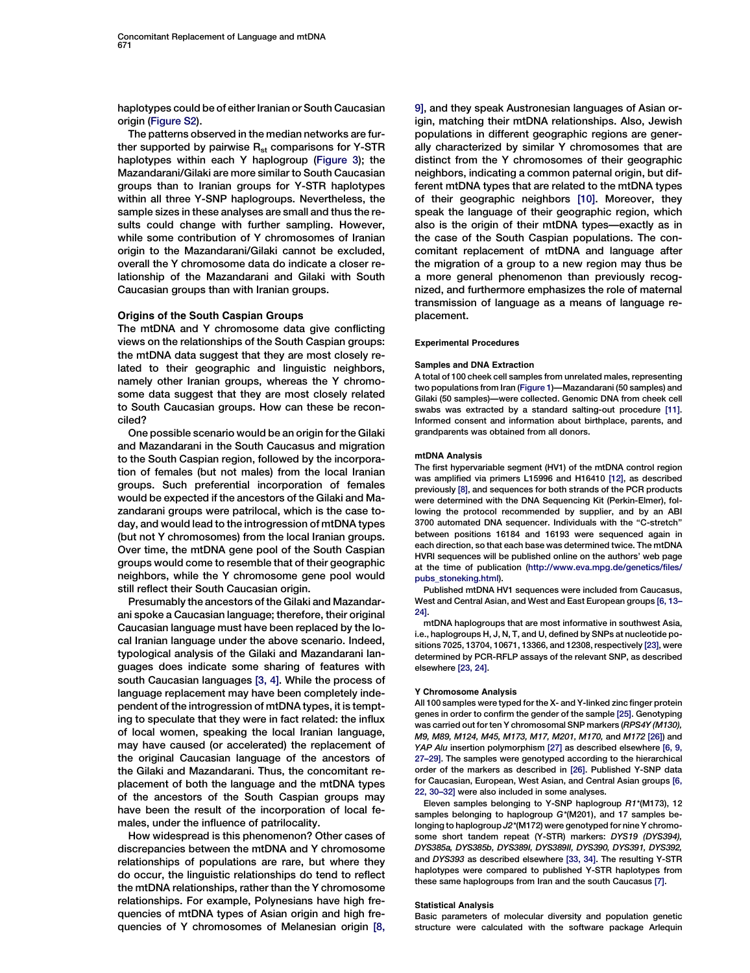haplotypes could be of either Iranian or South Caucasian origin [\(Figure S2](#page-4-0)).

The patterns observed in the median networks are further supported by pairwise  $R_{st}$  comparisons for Y-STR haplotypes within each Y haplogroup ([Figure 3](#page-2-0)); the Mazandarani/Gilaki are more similar to South Caucasian groups than to Iranian groups for Y-STR haplotypes within all three Y-SNP haplogroups. Nevertheless, the sample sizes in these analyses are small and thus the results could change with further sampling. However, while some contribution of Y chromosomes of Iranian origin to the Mazandarani/Gilaki cannot be excluded, overall the Y chromosome data do indicate a closer relationship of the Mazandarani and Gilaki with South Caucasian groups than with Iranian groups.

### Origins of the South Caspian Groups

The mtDNA and Y chromosome data give conflicting views on the relationships of the South Caspian groups: the mtDNA data suggest that they are most closely related to their geographic and linguistic neighbors, namely other Iranian groups, whereas the Y chromosome data suggest that they are most closely related to South Caucasian groups. How can these be reconciled?

One possible scenario would be an origin for the Gilaki and Mazandarani in the South Caucasus and migration to the South Caspian region, followed by the incorporation of females (but not males) from the local Iranian groups. Such preferential incorporation of females would be expected if the ancestors of the Gilaki and Mazandarani groups were patrilocal, which is the case today, and would lead to the introgression of mtDNA types (but not Y chromosomes) from the local Iranian groups. Over time, the mtDNA gene pool of the South Caspian groups would come to resemble that of their geographic neighbors, while the Y chromosome gene pool would still reflect their South Caucasian origin.

Presumably the ancestors of the Gilaki and Mazandarani spoke a Caucasian language; therefore, their original Caucasian language must have been replaced by the local Iranian language under the above scenario. Indeed, typological analysis of the Gilaki and Mazandarani languages does indicate some sharing of features with south Caucasian languages [\[3, 4\]](#page-4-0). While the process of language replacement may have been completely independent of the introgression of mtDNA types, it is tempting to speculate that they were in fact related: the influx of local women, speaking the local Iranian language, may have caused (or accelerated) the replacement of the original Caucasian language of the ancestors of the Gilaki and Mazandarani. Thus, the concomitant replacement of both the language and the mtDNA types of the ancestors of the South Caspian groups may have been the result of the incorporation of local females, under the influence of patrilocality.

How widespread is this phenomenon? Other cases of discrepancies between the mtDNA and Y chromosome relationships of populations are rare, but where they do occur, the linguistic relationships do tend to reflect the mtDNA relationships, rather than the Y chromosome relationships. For example, Polynesians have high frequencies of mtDNA types of Asian origin and high frequencies of Y chromosomes of Melanesian origin [\[8,](#page-4-0) [9\],](#page-4-0) and they speak Austronesian languages of Asian origin, matching their mtDNA relationships. Also, Jewish populations in different geographic regions are generally characterized by similar Y chromosomes that are distinct from the Y chromosomes of their geographic neighbors, indicating a common paternal origin, but different mtDNA types that are related to the mtDNA types of their geographic neighbors [\[10\].](#page-4-0) Moreover, they speak the language of their geographic region, which also is the origin of their mtDNA types—exactly as in the case of the South Caspian populations. The concomitant replacement of mtDNA and language after the migration of a group to a new region may thus be a more general phenomenon than previously recognized, and furthermore emphasizes the role of maternal transmission of language as a means of language replacement.

#### Experimental Procedures

#### Samples and DNA Extraction

A total of 100 cheek cell samples from unrelated males, representing two populations from Iran [\(Figure 1\)](#page-1-0)—Mazandarani (50 samples) and Gilaki (50 samples)—were collected. Genomic DNA from cheek cell swabs was extracted by a standard salting-out procedure [\[11\]](#page-4-0). Informed consent and information about birthplace, parents, and grandparents was obtained from all donors.

#### mtDNA Analysis

The first hypervariable segment (HV1) of the mtDNA control region was amplified via primers L15996 and H16410 [\[12\],](#page-4-0) as described previously [\[8\]](#page-4-0), and sequences for both strands of the PCR products were determined with the DNA Sequencing Kit (Perkin-Elmer), following the protocol recommended by supplier, and by an ABI 3700 automated DNA sequencer. Individuals with the ''C-stretch'' between positions 16184 and 16193 were sequenced again in each direction, so that each base was determined twice. The mtDNA HVRI sequences will be published online on the authors' web page at the time of publication [\(http://www.eva.mpg.de/genetics/files/](http://www.eva.mpg.de/genetics/files/pubs_stoneking.html) [pubs\\_stoneking.html](http://www.eva.mpg.de/genetics/files/pubs_stoneking.html)).

Published mtDNA HV1 sequences were included from Caucasus, West and Central Asian, and West and East European groups [\[6, 13–](#page-4-0) [24\].](#page-4-0)

mtDNA haplogroups that are most informative in southwest Asia, i.e., haplogroups H, J, N, T, and U, defined by SNPs at nucleotide positions 7025, 13704, 10671, 13366, and 12308, respectively [\[23\]](#page-4-0), were determined by PCR-RFLP assays of the relevant SNP, as described elsewhere [\[23, 24\].](#page-4-0)

#### Y Chromosome Analysis

All 100 samples were typed for the X- and Y-linked zinc finger protein genes in order to confirm the gender of the sample [\[25\].](#page-4-0) Genotyping was carried out for ten Y chromosomal SNP markers (RPS4Y (M130), M9, M89, M124, M45, M173, M17, M201, M170, and M172 [\[26\]\)](#page-4-0) and YAP Alu insertion polymorphism [\[27\]](#page-4-0) as described elsewhere [\[6, 9,](#page-4-0) [27–29\].](#page-4-0) The samples were genotyped according to the hierarchical order of the markers as described in [\[26\].](#page-4-0) Published Y-SNP data for Caucasian, European, West Asian, and Central Asian groups [\[6,](#page-4-0) [22, 30–32\]](#page-4-0) were also included in some analyses.

Eleven samples belonging to Y-SNP haplogroup R1\*(M173), 12 samples belonging to haplogroup G\*(M201), and 17 samples belonging to haplogroup J2\*(M172) were genotyped for nine Y chromosome short tandem repeat (Y-STR) markers: DYS19 (DYS394), DYS385a, DYS385b, DYS389I, DYS389II, DYS390, DYS391, DYS392, and DYS393 as described elsewhere [\[33, 34\]](#page-5-0). The resulting Y-STR haplotypes were compared to published Y-STR haplotypes from these same haplogroups from Iran and the south Caucasus [\[7\].](#page-4-0)

#### Statistical Analysis

Basic parameters of molecular diversity and population genetic structure were calculated with the software package Arlequin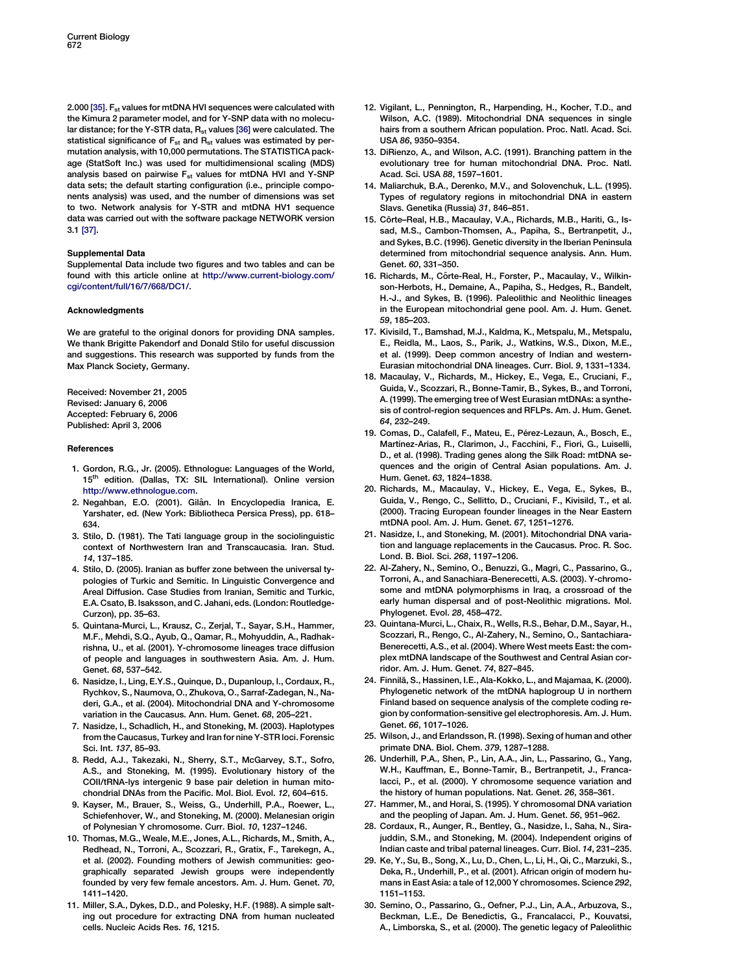<span id="page-4-0"></span>2.000 [\[35\].](#page-5-0)  $F_{st}$  values for mtDNA HVI sequences were calculated with the Kimura 2 parameter model, and for Y-SNP data with no molecular distance; for the Y-STR data,  $R_{st}$  values [\[36\]](#page-5-0) were calculated. The statistical significance of  $F_{st}$  and  $R_{st}$  values was estimated by permutation analysis, with 10,000 permutations. The STATISTICA package (StatSoft Inc.) was used for multidimensional scaling (MDS) analysis based on pairwise  $F_{st}$  values for mtDNA HVI and Y-SNP data sets; the default starting configuration (i.e., principle components analysis) was used, and the number of dimensions was set to two. Network analysis for Y-STR and mtDNA HV1 sequence data was carried out with the software package NETWORK version 3.1 [\[37\]](#page-5-0).

#### Supplemental Data

Supplemental Data include two figures and two tables and can be found with this article online at [http://www.current-biology.com/](http://www.current-biology.com/cgi/content/full/16/7/668/DC1/) [cgi/content/full/16/7/668/DC1/](http://www.current-biology.com/cgi/content/full/16/7/668/DC1/).

#### Acknowledgments

We are grateful to the original donors for providing DNA samples. We thank Brigitte Pakendorf and Donald Stilo for useful discussion and suggestions. This research was supported by funds from the Max Planck Society, Germany.

Received: November 21, 2005 Revised: January 6, 2006 Accepted: February 6, 2006 Published: April 3, 2006

#### References

- 1. Gordon, R.G., Jr. (2005). Ethnologue: Languages of the World, 15<sup>th</sup> edition. (Dallas, TX: SIL International). Online version <http://www.ethnologue.com>.
- 2. Negahban, E.O. (2001). Gilân. In Encyclopedia Iranica, E. Yarshater, ed. (New York: Bibliotheca Persica Press), pp. 618– 634.
- 3. Stilo, D. (1981). The Tati language group in the sociolinguistic context of Northwestern Iran and Transcaucasia. Iran. Stud. 14, 137–185.
- 4. Stilo, D. (2005). Iranian as buffer zone between the universal typologies of Turkic and Semitic. In Linguistic Convergence and Areal Diffusion. Case Studies from Iranian, Semitic and Turkic, E.A. Csato, B. Isaksson, and C. Jahani, eds. (London: Routledge-Curzon), pp. 35–63.
- 5. Quintana-Murci, L., Krausz, C., Zerjal, T., Sayar, S.H., Hammer, M.F., Mehdi, S.Q., Ayub, Q., Qamar, R., Mohyuddin, A., Radhakrishna, U., et al. (2001). Y-chromosome lineages trace diffusion of people and languages in southwestern Asia. Am. J. Hum. Genet. 68, 537–542.
- 6. Nasidze, I., Ling, E.Y.S., Quinque, D., Dupanloup, I., Cordaux, R., Rychkov, S., Naumova, O., Zhukova, O., Sarraf-Zadegan, N., Naderi, G.A., et al. (2004). Mitochondrial DNA and Y-chromosome variation in the Caucasus. Ann. Hum. Genet. 68, 205–221.
- 7. Nasidze, I., Schadlich, H., and Stoneking, M. (2003). Haplotypes from the Caucasus, Turkey and Iran for nine Y-STR loci. Forensic Sci. Int. 137, 85–93.
- 8. Redd, A.J., Takezaki, N., Sherry, S.T., McGarvey, S.T., Sofro, A.S., and Stoneking, M. (1995). Evolutionary history of the COII/tRNA-lys intergenic 9 base pair deletion in human mitochondrial DNAs from the Pacific. Mol. Biol. Evol. 12, 604–615.
- 9. Kayser, M., Brauer, S., Weiss, G., Underhill, P.A., Roewer, L., Schiefenhover, W., and Stoneking, M. (2000). Melanesian origin of Polynesian Y chromosome. Curr. Biol. 10, 1237–1246.
- 10. Thomas, M.G., Weale, M.E., Jones, A.L., Richards, M., Smith, A., Redhead, N., Torroni, A., Scozzari, R., Gratix, F., Tarekegn, A., et al. (2002). Founding mothers of Jewish communities: geographically separated Jewish groups were independently founded by very few female ancestors. Am. J. Hum. Genet. 70, 1411–1420.
- 11. Miller, S.A., Dykes, D.D., and Polesky, H.F. (1988). A simple salting out procedure for extracting DNA from human nucleated cells. Nucleic Acids Res. 16, 1215.
- 12. Vigilant, L., Pennington, R., Harpending, H., Kocher, T.D., and Wilson, A.C. (1989). Mitochondrial DNA sequences in single hairs from a southern African population. Proc. Natl. Acad. Sci. USA 86, 9350–9354.
- 13. DiRienzo, A., and Wilson, A.C. (1991). Branching pattern in the evolutionary tree for human mitochondrial DNA. Proc. Natl. Acad. Sci. USA 88, 1597–1601.
- 14. Maliarchuk, B.A., Derenko, M.V., and Solovenchuk, L.L. (1995). Types of regulatory regions in mitochondrial DNA in eastern Slavs. Genetika (Russia) 31, 846–851.
- 15. Côrte–Real, H.B., Macaulay, V.A., Richards, M.B., Hariti, G., Issad, M.S., Cambon-Thomsen, A., Papiha, S., Bertranpetit, J., and Sykes, B.C. (1996). Genetic diversity in the Iberian Peninsula determined from mitochondrial sequence analysis. Ann. Hum. Genet. 60, 331–350.
- 16. Richards, M., Côrte-Real, H., Forster, P., Macaulay, V., Wilkinson-Herbots, H., Demaine, A., Papiha, S., Hedges, R., Bandelt, H.-J., and Sykes, B. (1996). Paleolithic and Neolithic lineages in the European mitochondrial gene pool. Am. J. Hum. Genet. 59, 185–203.
- 17. Kivisild, T., Bamshad, M.J., Kaldma, K., Metspalu, M., Metspalu, E., Reidla, M., Laos, S., Parik, J., Watkins, W.S., Dixon, M.E., et al. (1999). Deep common ancestry of Indian and western-Eurasian mitochondrial DNA lineages. Curr. Biol. 9, 1331–1334.
- 18. Macaulay, V., Richards, M., Hickey, E., Vega, E., Cruciani, F., Guida, V., Scozzari, R., Bonne-Tamir, B., Sykes, B., and Torroni, A. (1999). The emerging tree of West Eurasian mtDNAs: a synthesis of control-region sequences and RFLPs. Am. J. Hum. Genet. 64, 232–249.
- 19. Comas, D., Calafell, F., Mateu, E., Pérez-Lezaun, A., Bosch, E., Martínez-Arias, R., Clarimon, J., Facchini, F., Fiori, G., Luiselli, D., et al. (1998). Trading genes along the Silk Road: mtDNA sequences and the origin of Central Asian populations. Am. J. Hum. Genet. 63, 1824–1838.
- 20. Richards, M., Macaulay, V., Hickey, E., Vega, E., Sykes, B., Guida, V., Rengo, C., Sellitto, D., Cruciani, F., Kivisild, T., et al. (2000). Tracing European founder lineages in the Near Eastern mtDNA pool. Am. J. Hum. Genet. 67, 1251–1276.
- 21. Nasidze, I., and Stoneking, M. (2001). Mitochondrial DNA variation and language replacements in the Caucasus. Proc. R. Soc. Lond. B. Biol. Sci. 268, 1197–1206.
- 22. Al-Zahery, N., Semino, O., Benuzzi, G., Magri, C., Passarino, G., Torroni, A., and Sanachiara-Benerecetti, A.S. (2003). Y-chromosome and mtDNA polymorphisms in Iraq, a crossroad of the early human dispersal and of post-Neolithic migrations. Mol. Phylogenet. Evol. 28, 458–472.
- 23. Quintana-Murci, L., Chaix, R., Wells, R.S., Behar, D.M., Sayar, H., Scozzari, R., Rengo, C., Al-Zahery, N., Semino, O., Santachiara-Benerecetti, A.S., et al. (2004). Where West meets East: the complex mtDNA landscape of the Southwest and Central Asian corridor. Am. J. Hum. Genet. 74, 827–845.
- 24. Finnilä, S., Hassinen, I.E., Ala-Kokko, L., and Majamaa, K. (2000). Phylogenetic network of the mtDNA haplogroup U in northern Finland based on sequence analysis of the complete coding region by conformation-sensitive gel electrophoresis. Am. J. Hum. Genet. 66, 1017–1026.
- 25. Wilson, J., and Erlandsson, R. (1998). Sexing of human and other primate DNA. Biol. Chem. 379, 1287–1288.
- 26. Underhill, P.A., Shen, P., Lin, A.A., Jin, L., Passarino, G., Yang, W.H., Kauffman, E., Bonne-Tamir, B., Bertranpetit, J., Francalacci, P., et al. (2000). Y chromosome sequence variation and the history of human populations. Nat. Genet. 26, 358–361.
- 27. Hammer, M., and Horai, S. (1995). Y chromosomal DNA variation and the peopling of Japan. Am. J. Hum. Genet. 56, 951–962.
- 28. Cordaux, R., Aunger, R., Bentley, G., Nasidze, I., Saha, N., Sirajuddin, S.M., and Stoneking, M. (2004). Independent origins of Indian caste and tribal paternal lineages. Curr. Biol. 14, 231–235.
- 29. Ke, Y., Su, B., Song, X., Lu, D., Chen, L., Li, H., Qi, C., Marzuki, S., Deka, R., Underhill, P., et al. (2001). African origin of modern humans in East Asia: a tale of 12,000 Y chromosomes. Science 292, 1151–1153.
- 30. Semino, O., Passarino, G., Oefner, P.J., Lin, A.A., Arbuzova, S., Beckman, L.E., De Benedictis, G., Francalacci, P., Kouvatsi, A., Limborska, S., et al. (2000). The genetic legacy of Paleolithic